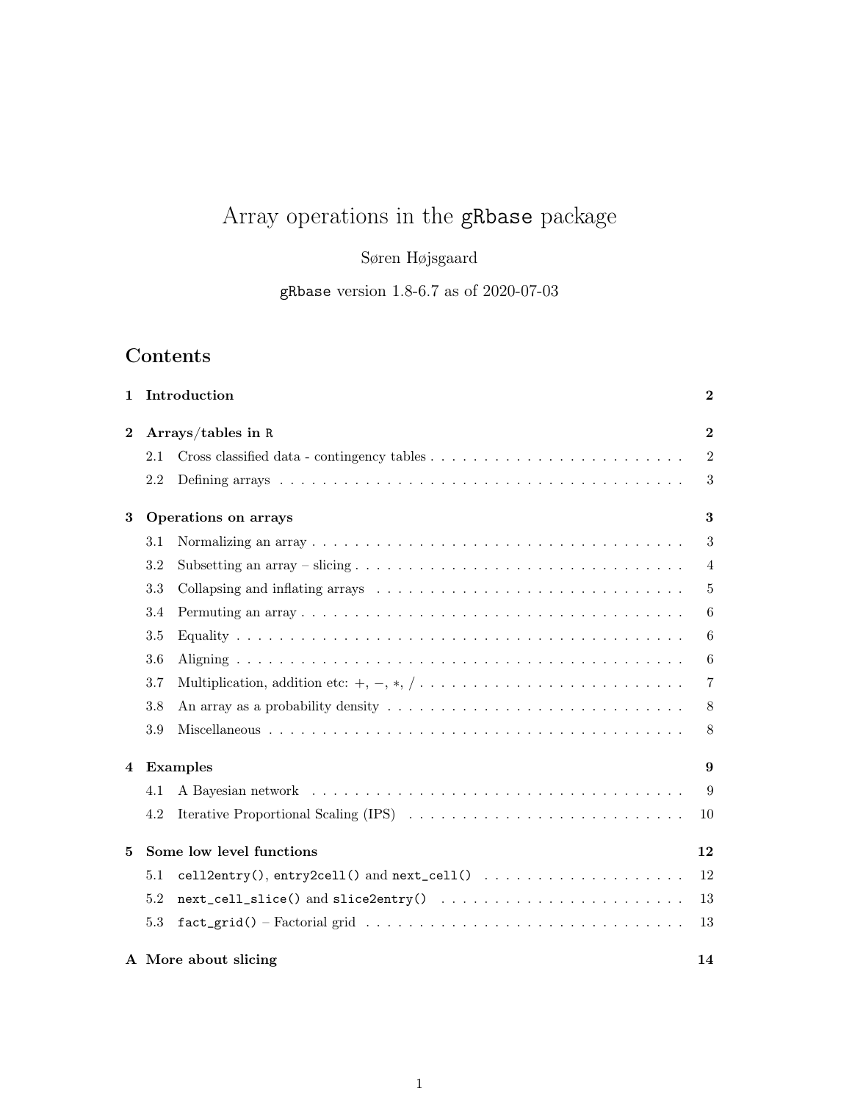# Array operations in the gRbase package

Søren Højsgaard

gRbase version 1.8-6.7 as of 2020-07-03

## Contents

| 1        | Introduction             |                                      |                |  |  |  |  |  |  |
|----------|--------------------------|--------------------------------------|----------------|--|--|--|--|--|--|
| $\bf{2}$ |                          | Arrays/tables in R                   |                |  |  |  |  |  |  |
|          | 2.1                      |                                      | $\overline{2}$ |  |  |  |  |  |  |
|          | 2.2                      |                                      | 3              |  |  |  |  |  |  |
| 3        | Operations on arrays     |                                      |                |  |  |  |  |  |  |
|          | 3.1                      |                                      | 3              |  |  |  |  |  |  |
|          | $3.2\,$                  |                                      | $\overline{4}$ |  |  |  |  |  |  |
|          | 3.3                      |                                      | $\overline{5}$ |  |  |  |  |  |  |
|          | 3.4                      |                                      | 6              |  |  |  |  |  |  |
|          | 3.5                      |                                      | 6              |  |  |  |  |  |  |
|          | 3.6                      |                                      | 6              |  |  |  |  |  |  |
|          | 3.7                      |                                      | $\overline{7}$ |  |  |  |  |  |  |
|          | 3.8                      |                                      | 8              |  |  |  |  |  |  |
|          | 3.9                      |                                      | 8              |  |  |  |  |  |  |
| 4        |                          | Examples                             |                |  |  |  |  |  |  |
|          | 4.1                      |                                      | 9              |  |  |  |  |  |  |
|          | 4.2                      | Iterative Proportional Scaling (IPS) | 10             |  |  |  |  |  |  |
| 5        | Some low level functions |                                      |                |  |  |  |  |  |  |
|          | 5.1                      |                                      | 12             |  |  |  |  |  |  |
|          | 5.2                      |                                      | 13             |  |  |  |  |  |  |
|          | 5.3                      |                                      | 13             |  |  |  |  |  |  |
|          |                          | A More about slicing<br>14           |                |  |  |  |  |  |  |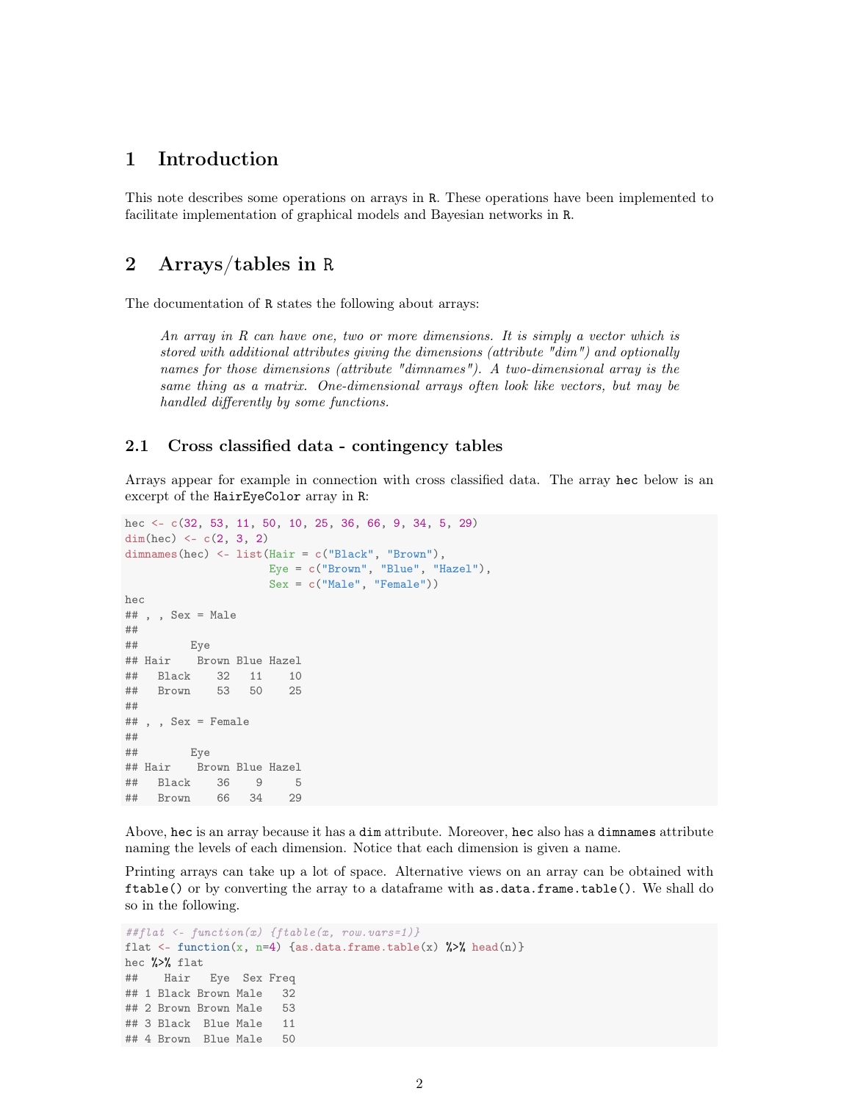## 1 Introduction

This note describes some operations on arrays in R. These operations have been implemented to facilitate implementation of graphical models and Bayesian networks in R.

## 2 Arrays/tables in R

The documentation of R states the following about arrays:

An array in R can have one, two or more dimensions. It is simply a vector which is stored with additional attributes giving the dimensions (attribute "dim") and optionally names for those dimensions (attribute "dimnames"). A two-dimensional array is the same thing as a matrix. One-dimensional arrays often look like vectors, but may be handled differently by some functions.

#### 2.1 Cross classified data - contingency tables

Arrays appear for example in connection with cross classified data. The array hec below is an excerpt of the HairEyeColor array in R:

```
hec <- c(32, 53, 11, 50, 10, 25, 36, 66, 9, 34, 5, 29)
dim(hec) <-c(2, 3, 2)dimnames(hec) <- list(Hair = c("Black", "Brown"),
                  Eye = c("Brown", "Blue", "Hazel"),
                   Sex = c("Male", "Female")hec
## , , Sex = Male
##
## Eye
## Hair Brown Blue Hazel
## Black 32 11 10
## Brown 53 50 25
##
## , , Sex = Female
##
## Eye
## Hair Brown Blue Hazel
## Black 36 9 5
## Brown 66 34 29
```
Above, hec is an array because it has a dim attribute. Moreover, hec also has a dimnames attribute naming the levels of each dimension. Notice that each dimension is given a name.

Printing arrays can take up a lot of space. Alternative views on an array can be obtained with ftable() or by converting the array to a dataframe with as.data.frame.table(). We shall do so in the following.

```
##flat <- function(x) {ftable(x, row.vars=1)}
flat <- function(x, n=4) {as.data.frame.table(x) %>% head(n)}
hec %>% flat
## Hair Eye Sex Freq
## 1 Black Brown Male 32
## 2 Brown Brown Male 53
## 3 Black Blue Male 11
## 4 Brown Blue Male 50
```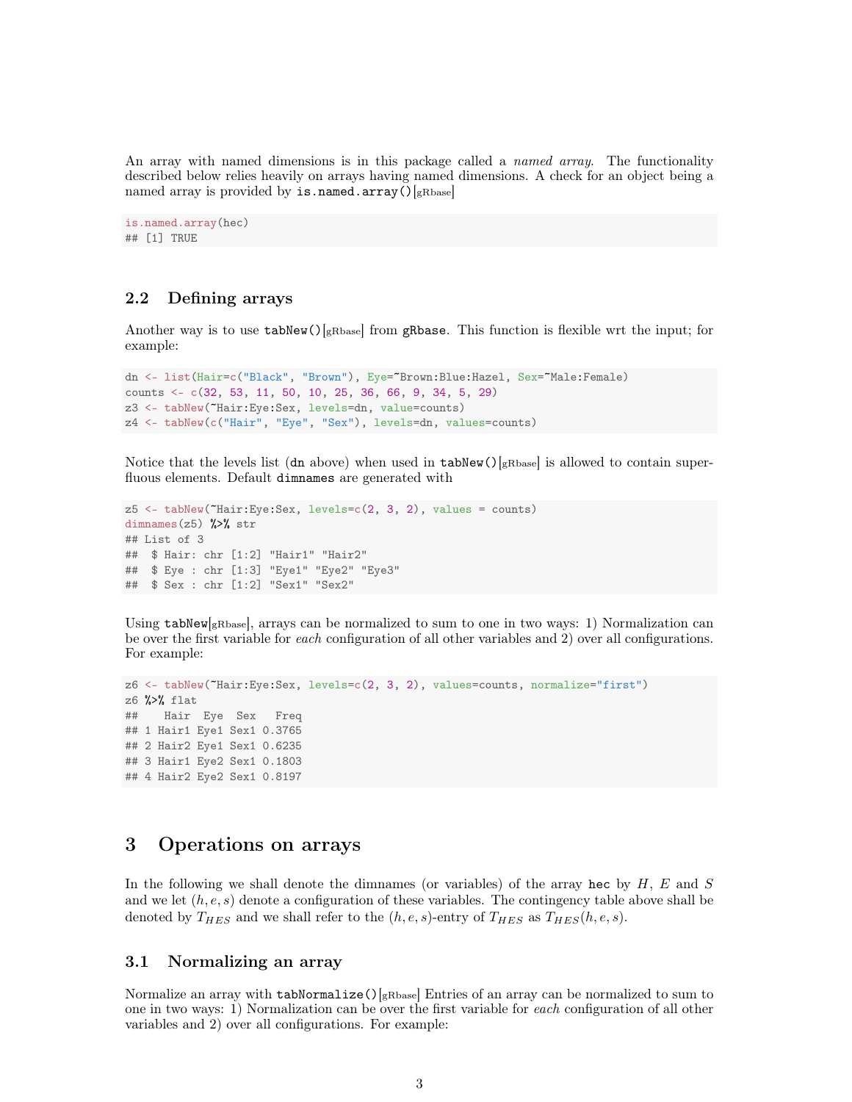An array with named dimensions is in this package called a *named array*. The functionality described below relies heavily on arrays having named dimensions. A check for an object being a named array is provided by  $is.name$ .array()[gRbase]

```
is.named.array(hec)
## [1] TRUE
```
## 2.2 Defining arrays

Another way is to use  $\text{tabNew}()$ <sub>gRbase</sub>] from gRbase. This function is flexible wrt the input; for example:

```
dn <- list(Hair=c("Black", "Brown"), Eye="Brown:Blue:Hazel, Sex="Male:Female)
counts <- c(32, 53, 11, 50, 10, 25, 36, 66, 9, 34, 5, 29)
z3 <- tabNew(~Hair:Eye:Sex, levels=dn, value=counts)
z4 <- tabNew(c("Hair", "Eye", "Sex"), levels=dn, values=counts)
```
Notice that the levels list (dn above) when used in  $\text{tabNew}()$ <sub>gRbase</sub> is allowed to contain superfluous elements. Default dimnames are generated with

```
z5 <- tabNew(~Hair:Eye:Sex, levels=c(2, 3, 2), values = counts)
dimnames(z5) \frac{1}{2} str
## List of 3
## $ Hair: chr [1:2] "Hair1" "Hair2"
## $ Eye : chr [1:3] "Eye1" "Eye2" "Eye3"
## $ Sex : chr [1:2] "Sex1" "Sex2"
```
Using  $\text{tabNew}$ <sub>gRbase</sub>], arrays can be normalized to sum to one in two ways: 1) Normalization can be over the first variable for each configuration of all other variables and 2) over all configurations. For example:

```
z6 <- tabNew(~Hair:Eye:Sex, levels=c(2, 3, 2), values=counts, normalize="first")
z6 %>% flat
## Hair Eye Sex Freq
## 1 Hair1 Eye1 Sex1 0.3765
## 2 Hair2 Eye1 Sex1 0.6235
## 3 Hair1 Eye2 Sex1 0.1803
## 4 Hair2 Eye2 Sex1 0.8197
```
## 3 Operations on arrays

In the following we shall denote the dimnames (or variables) of the array hec by  $H, E$  and  $S$ and we let  $(h, e, s)$  denote a configuration of these variables. The contingency table above shall be denoted by  $T_{HES}$  and we shall refer to the  $(h, e, s)$ -entry of  $T_{HES}$  as  $T_{HES}(h, e, s)$ .

#### 3.1 Normalizing an array

Normalize an array with  $tabNormalize()$ <sub>gRbase</sub>] Entries of an array can be normalized to sum to one in two ways: 1) Normalization can be over the first variable for each configuration of all other variables and 2) over all configurations. For example: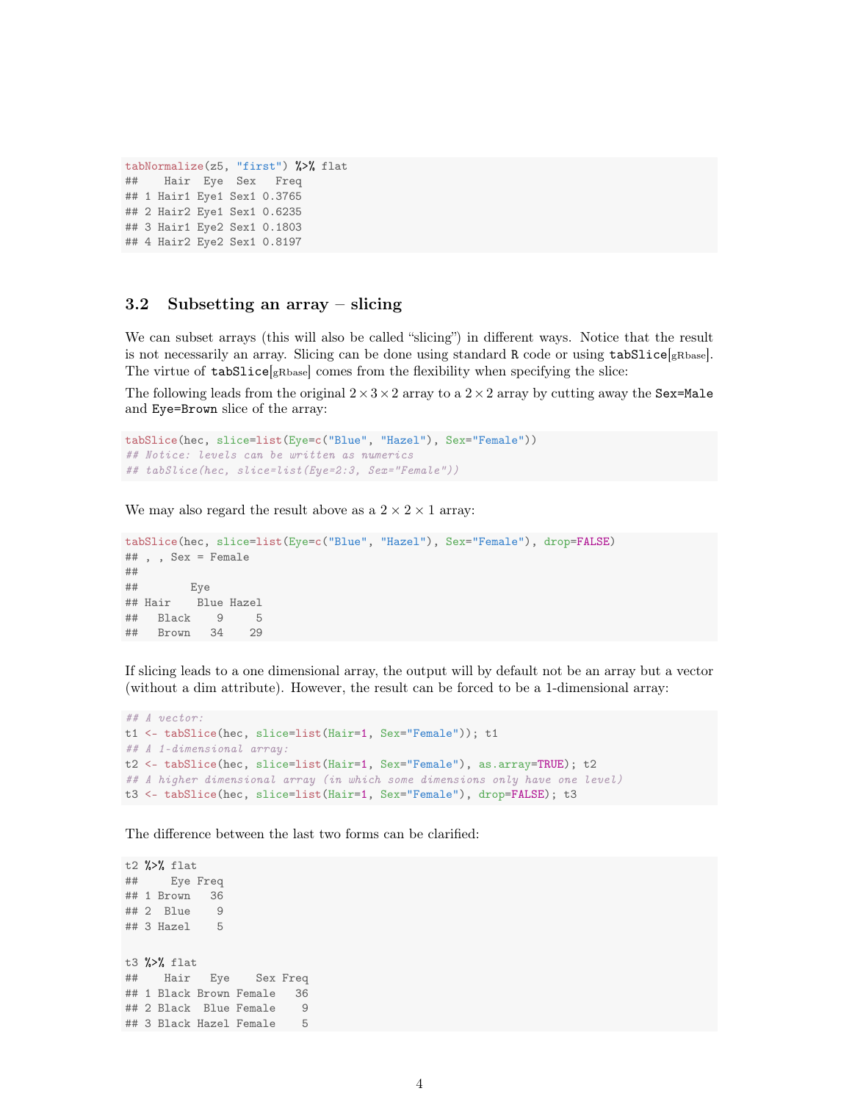```
tabNormalize(z5, "first") %>% flat
## Hair Eye Sex Freq
## 1 Hair1 Eye1 Sex1 0.3765
## 2 Hair2 Eye1 Sex1 0.6235
## 3 Hair1 Eye2 Sex1 0.1803
## 4 Hair2 Eye2 Sex1 0.8197
```
### 3.2 Subsetting an array – slicing

We can subset arrays (this will also be called "slicing") in different ways. Notice that the result is not necessarily an array. Slicing can be done using standard R code or using tabSlice[gRbase]. The virtue of tabSlice[gRbase] comes from the flexibility when specifying the slice:

The following leads from the original  $2 \times 3 \times 2$  array to a  $2 \times 2$  array by cutting away the Sex=Male and Eye=Brown slice of the array:

```
tabSlice(hec, slice=list(Eye=c("Blue", "Hazel"), Sex="Female"))
## Notice: levels can be written as numerics
## tabSlice(hec, slice=list(Eye=2:3, Sex="Female"))
```
We may also regard the result above as a  $2 \times 2 \times 1$  array:

```
tabSlice(hec, slice=list(Eye=c("Blue", "Hazel"), Sex="Female"), drop=FALSE)
## , , Sex = Female
##
## Eye
## Hair Blue Hazel
## Black 9 5
## Brown 34 29
```
If slicing leads to a one dimensional array, the output will by default not be an array but a vector (without a dim attribute). However, the result can be forced to be a 1-dimensional array:

```
## A vector:
t1 <- tabSlice(hec, slice=list(Hair=1, Sex="Female")); t1
## A 1-dimensional array:
t2 <- tabSlice(hec, slice=list(Hair=1, Sex="Female"), as.array=TRUE); t2
## A higher dimensional array (in which some dimensions only have one level)
t3 <- tabSlice(hec, slice=list(Hair=1, Sex="Female"), drop=FALSE); t3
```
The difference between the last two forms can be clarified:

t2 %>% flat ## Eye Freq ## 1 Brown 36 ## 2 Blue 9 ## 3 Hazel 5 t3 %>% flat ## Hair Eye Sex Freq ## 1 Black Brown Female 36 ## 2 Black Blue Female 9 ## 3 Black Hazel Female 5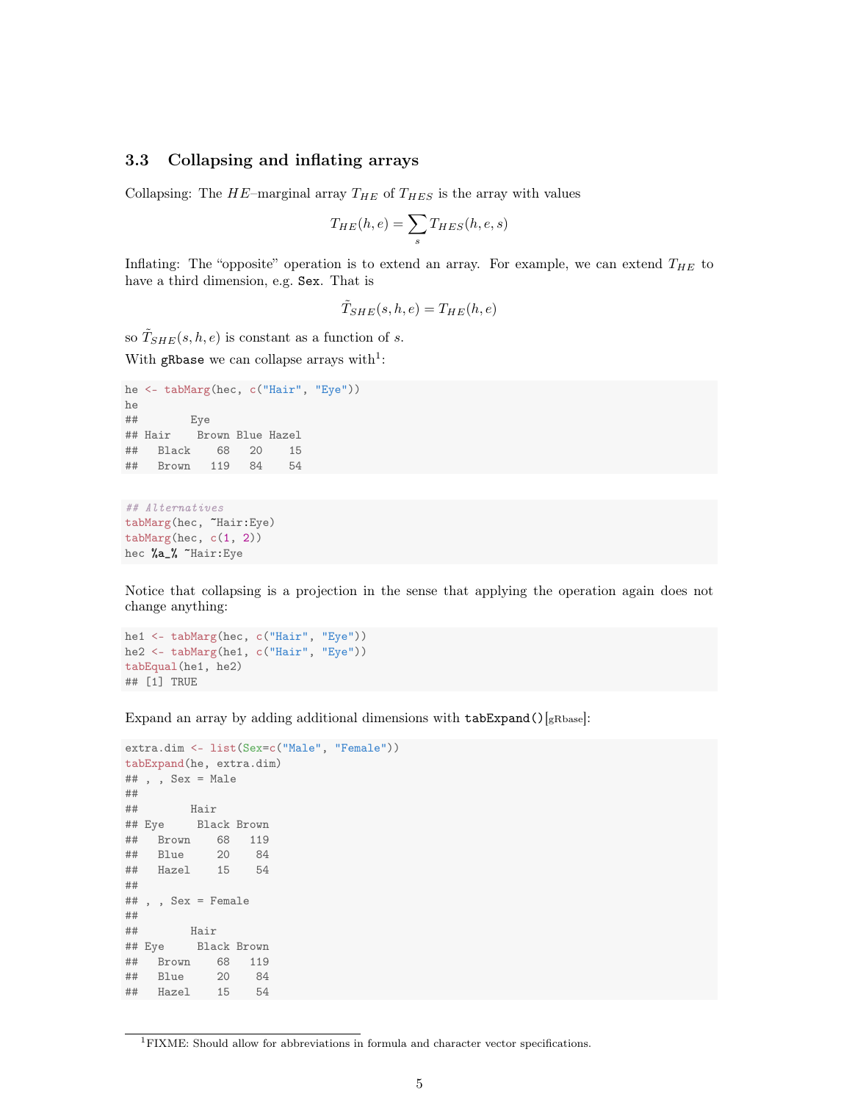## 3.3 Collapsing and inflating arrays

Collapsing: The  $HE$ -marginal array  $T_{HE}$  of  $T_{HES}$  is the array with values

$$
T_{HE}(h,e) = \sum_{s} T_{HES}(h,e,s)
$$

Inflating: The "opposite" operation is to extend an array. For example, we can extend  $T_{HE}$  to have a third dimension, e.g. Sex. That is

$$
\tilde{T}_{SHE}(s,h,e) = T_{HE}(h,e)
$$

so  $\tilde{T}_{SHE}(s, h, e)$  is constant as a function of s.

With gRbase we can collapse arrays with<sup>1</sup>:

```
he <- tabMarg(hec, c("Hair", "Eye"))
he
## Eye
## Hair Brown Blue Hazel
## Black 68 20 15
## Brown 119 84 54
```

```
## Alternatives
tabMarg(hec, ~Hair:Eye)
tabMarg(hec, c(1, 2))
hec %a_% ~Hair:Eye
```
Notice that collapsing is a projection in the sense that applying the operation again does not change anything:

```
he1 <- tabMarg(hec, c("Hair", "Eye"))
he2 <- tabMarg(he1, c("Hair", "Eye"))
tabEqual(he1, he2)
## [1] TRUE
```
Expand an array by adding additional dimensions with  $\texttt{tabExpand}()$ [gRbase]:

```
extra.dim <- list(Sex=c("Male", "Female"))
tabExpand(he, extra.dim)
## , , Sex = Male
##
## Hair
## Eye Black Brown
## Brown 68 119
## Blue 20 84
## Hazel 15 54
##
## , , Sex = Female
##
## Hair
## Eye Black Brown
## Brown 68 119
## Blue 20 84
## Hazel 15 54
```
<sup>1</sup>FIXME: Should allow for abbreviations in formula and character vector specifications.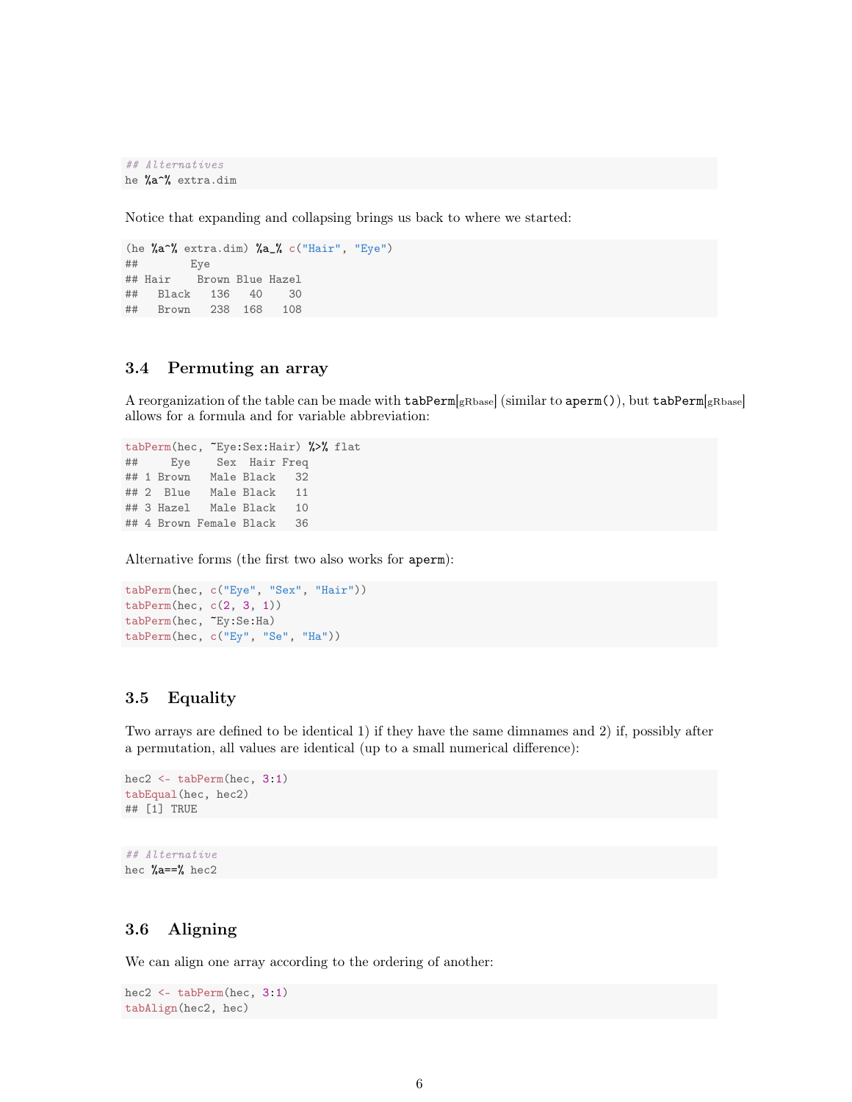*## Alternatives* he %a^% extra.dim

Notice that expanding and collapsing brings us back to where we started:

```
(he %a^% extra.dim) %a_% c("Hair", "Eye")
## Eye
## Hair Brown Blue Hazel
## Black 136 40 30
## Brown 238 168 108
```
## 3.4 Permuting an array

A reorganization of the table can be made with  $\texttt{tabPerm}$  (similar to aperm()), but  $\texttt{tabPerm}$  (gRbase] allows for a formula and for variable abbreviation:

```
tabPerm(hec, ~Eye:Sex:Hair) %>% flat
## Eye Sex Hair Freq
## 1 Brown Male Black 32
## 2 Blue Male Black 11
## 3 Hazel Male Black 10
## 4 Brown Female Black 36
```
Alternative forms (the first two also works for aperm):

```
tabPerm(hec, c("Eye", "Sex", "Hair"))
tabPerm(hec, c(2, 3, 1))
tabPerm(hec, ~Ey:Se:Ha)
tabPerm(hec, c("Ey", "Se", "Ha"))
```
## 3.5 Equality

Two arrays are defined to be identical 1) if they have the same dimnames and 2) if, possibly after a permutation, all values are identical (up to a small numerical difference):

```
hec2 <- tabPerm(hec, 3:1)
tabEqual(hec, hec2)
## [1] TRUE
```
*## Alternative* hec %a==% hec2

## 3.6 Aligning

We can align one array according to the ordering of another:

```
hec2 <- tabPerm(hec, 3:1)
tabAlign(hec2, hec)
```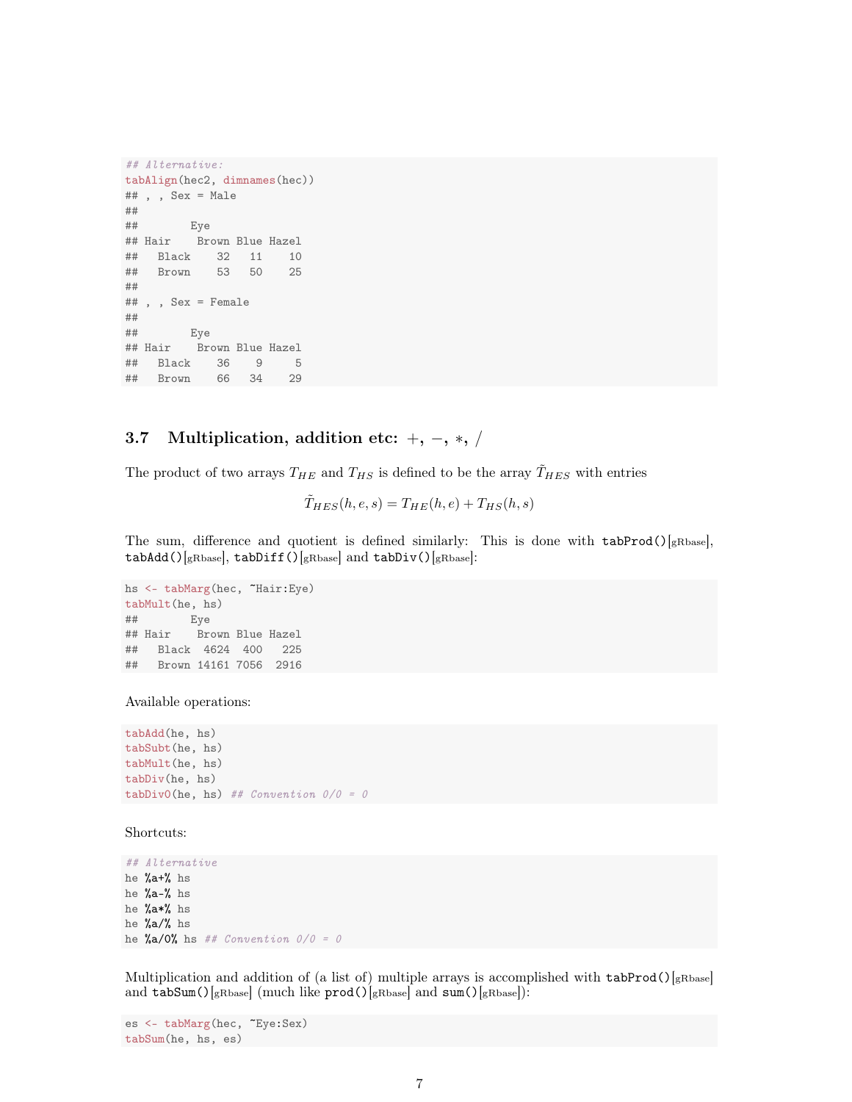```
## Alternative:
tabAlign(hec2, dimnames(hec))
## , , Sex = Male
##
## Eye
## Hair Brown Blue Hazel
## Black 32 11 10
## Brown 53 50 25
##
## , , Sex = Female
##
## Eye
## Hair Brown Blue Hazel
## Black 36 9 5
## Brown 66 34 29
```
## 3.7 Multiplication, addition etc:  $+$ ,  $-$ ,  $*$ ,  $/$

The product of two arrays  $T_{HE}$  and  $T_{HS}$  is defined to be the array  $\tilde{T}_{HES}$  with entries

 $\tilde{T}_{HES}(h, e, s) = T_{HE}(h, e) + T_{HS}(h, s)$ 

The sum, difference and quotient is defined similarly: This is done with  $\text{tabProd}()$ [gRbase],  $tabAdd()$ [gRbase],  $tabDiff()$ [gRbase] and  $tabDiv()$ [gRbase]:

```
hs <- tabMarg(hec, ~Hair:Eye)
tabMult(he, hs)
## Eye
## Hair Brown Blue Hazel
## Black 4624 400 225
## Brown 14161 7056 2916
```
Available operations:

tabAdd(he, hs) tabSubt(he, hs) tabMult(he, hs) tabDiv(he, hs) tabDiv0(he, hs) *## Convention 0/0 = 0*

Shortcuts:

*## Alternative* he %a+% hs he %a-% hs he %a\*% hs he %a/% hs he %a/0% hs *## Convention 0/0 = 0*

Multiplication and addition of (a list of) multiple arrays is accomplished with  $\text{tabProd}()$ <sub>[gRbase]</sub> and  $\text{tabSum}()$ [gRbase] (much like  $\text{prod()}$ [gRbase] and  $\text{sum()}$ [gRbase]):

```
es <- tabMarg(hec, ~Eye:Sex)
tabSum(he, hs, es)
```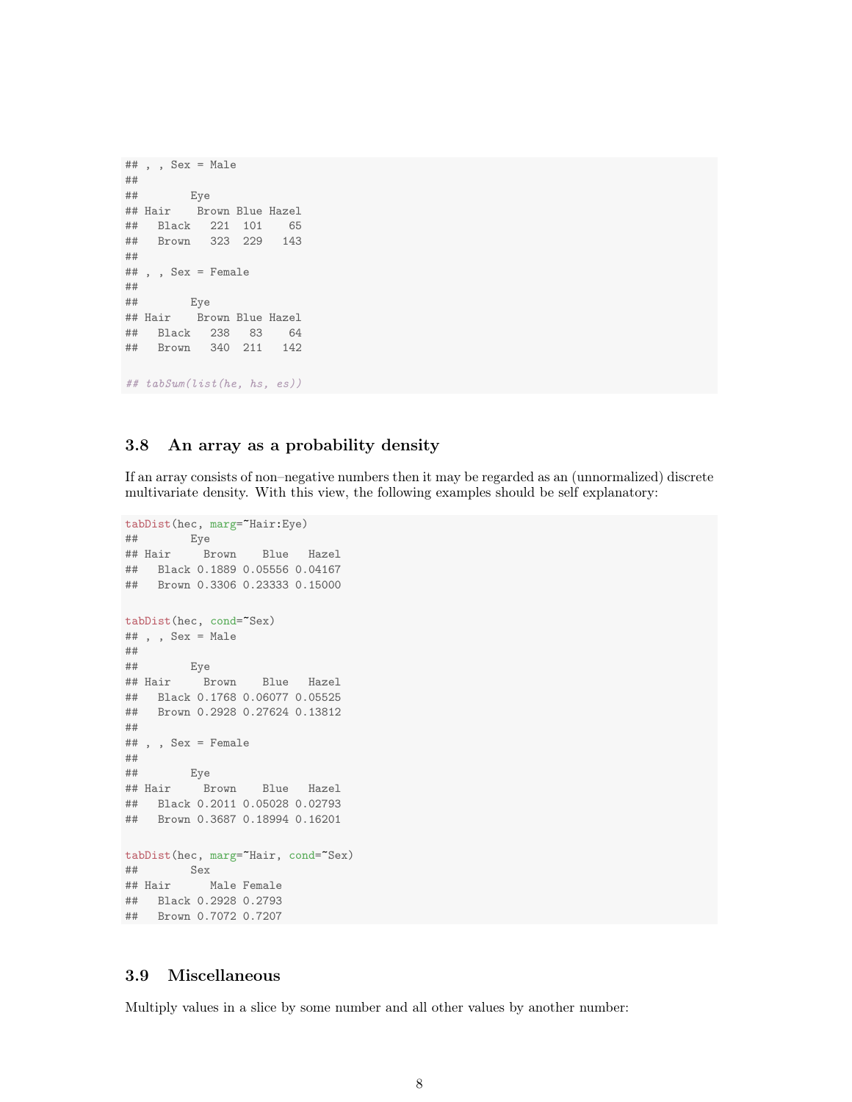```
## , , Sex = Male
##
## Eye
## Hair Brown Blue Hazel
## Black 221 101 65
## Brown 323 229 143
##
## , , Sex = Female
##
## Eye
## Hair Brown Blue Hazel
## Black 238 83 64
## Brown 340 211 142
## tabSum(list(he, hs, es))
```
### 3.8 An array as a probability density

If an array consists of non–negative numbers then it may be regarded as an (unnormalized) discrete multivariate density. With this view, the following examples should be self explanatory:

```
tabDist(hec, marg="Hair:Eye)
## Eye
## Hair Brown Blue Hazel
## Black 0.1889 0.05556 0.04167
## Brown 0.3306 0.23333 0.15000
tabDist(hec, cond=~Sex)
## , , Sex = Male
##
## Eye
## Hair Brown Blue Hazel
## Black 0.1768 0.06077 0.05525
## Brown 0.2928 0.27624 0.13812
##
## , , Sex = Female
##
        Eye
## Hair Brown Blue Hazel
## Black 0.2011 0.05028 0.02793
## Brown 0.3687 0.18994 0.16201
tabDist(hec, marg="Hair, cond="Sex)
## Sex
## Hair Male Female
## Black 0.2928 0.2793
## Brown 0.7072 0.7207
```
## 3.9 Miscellaneous

Multiply values in a slice by some number and all other values by another number: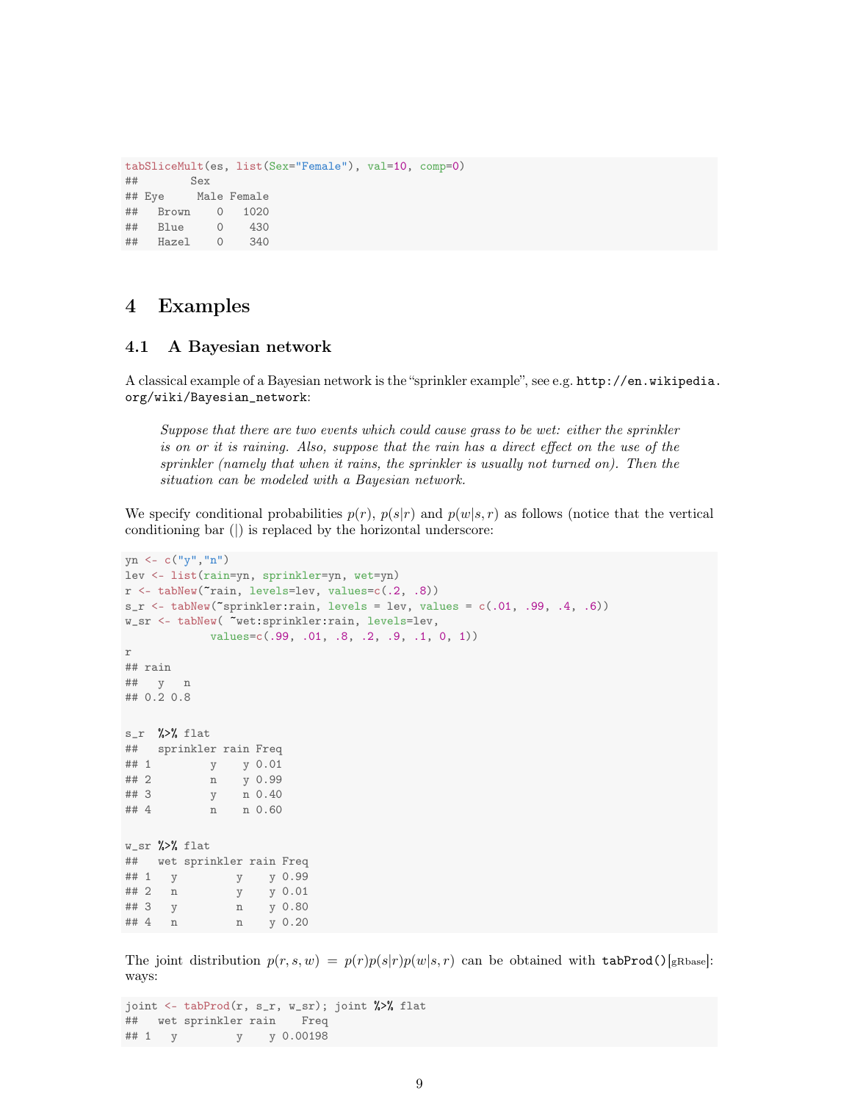```
tabSliceMult(es, list(Sex="Female"), val=10, comp=0)
## Sex
## Eye Male Female
## Brown 0 1020
## Blue 0 430
## Hazel 0 340
```
## 4 Examples

## 4.1 A Bayesian network

A classical example of a Bayesian network is the "sprinkler example", see e.g. http://en.wikipedia. org/wiki/Bayesian\_network:

Suppose that there are two events which could cause grass to be wet: either the sprinkler is on or it is raining. Also, suppose that the rain has a direct effect on the use of the sprinkler (namely that when it rains, the sprinkler is usually not turned on). Then the situation can be modeled with a Bayesian network.

We specify conditional probabilities  $p(r)$ ,  $p(s|r)$  and  $p(w|s,r)$  as follows (notice that the vertical conditioning bar (|) is replaced by the horizontal underscore:

```
yn \leftarrow c("y", "n")lev <- list(rain=yn, sprinkler=yn, wet=yn)
r \leftarrow tabNew("rain, levels=lev, values=c(.2, .8))
s_r < - tabNew("sprinkler:rain, levels = lev, values = c(.01, .99, .4, .6))
w_sr <- tabNew( ~wet:sprinkler:rain, levels=lev,
           values=c(.99, .01, .8, .2, .9, .1, 0, 1))
r
## rain
## y n
## 0.2 0.8
s_r %>% flat
## sprinkler rain Freq
## 1 y y 0.01
## 2 n y 0.99
## 3 y n 0.40
## 4 n n 0.60
W_Sr %>% flat
## wet sprinkler rain Freq
## 1 y y y 0.99
## 2 n y y 0.01
## 3 y n y 0.80
## 4 n n y 0.20
```
The joint distribution  $p(r, s, w) = p(r)p(s|r)p(w|s, r)$  can be obtained with tabProd()[gRbase]: ways:

```
joint <- tabProd(r, s_r, w_sr); joint %>% flat
## wet sprinkler rain Freq
## 1 y y y 0.00198
```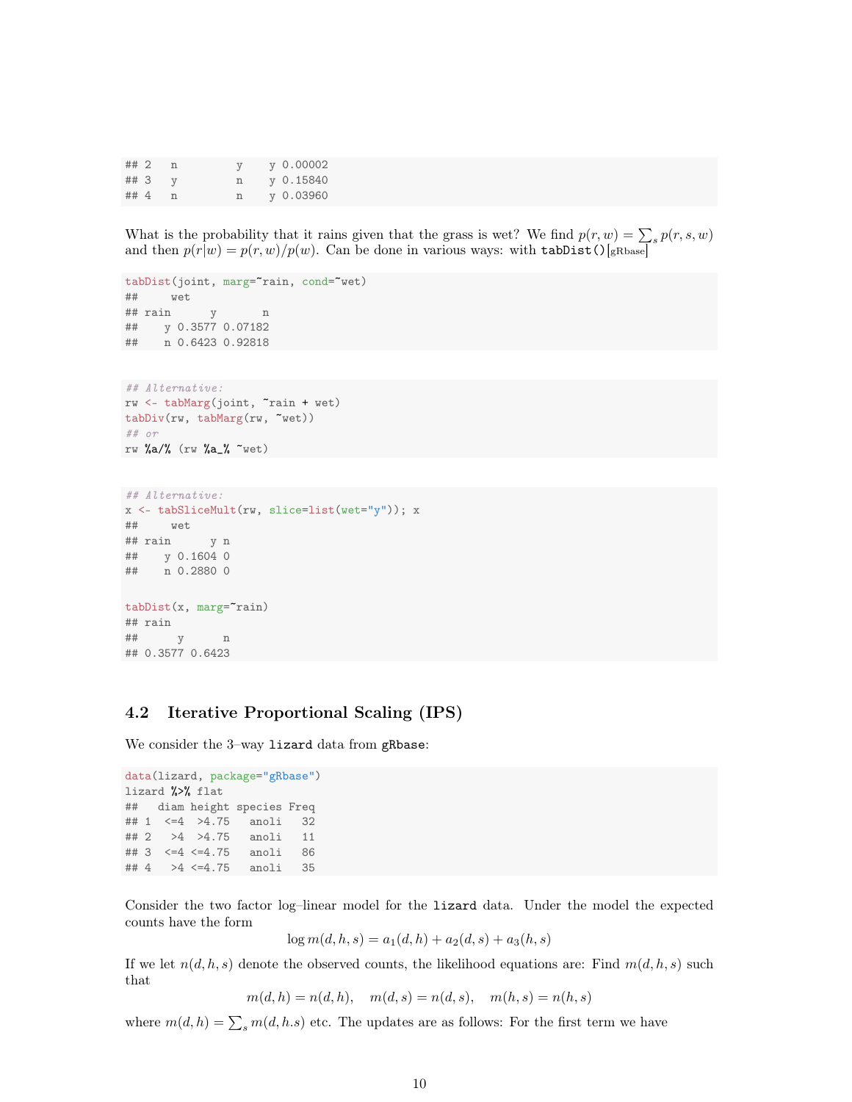| ##2  |  |   | $y\;0.00002$ |
|------|--|---|--------------|
| ## 3 |  | n | v 0.15840    |
| ## 4 |  |   | y 0.03960    |

What is the probability that it rains given that the grass is wet? We find  $p(r, w) = \sum_s p(r, s, w)$ and then  $p(r|w) = p(r, w)/p(w)$ . Can be done in various ways: with tabDist()[gRbase]

```
tabDist(joint, marg="rain, cond="wet)
## wet
## rain y n
## y 0.3577 0.07182
## n 0.6423 0.92818
## Alternative:
rw <- tabMarg(joint, ~rain + wet)
tabDiv(rw, tabMarg(rw, ~wet))
## or
rw %a/% (rw %a_% ~wet)
## Alternative:
x <- tabSliceMult(rw, slice=list(wet="y")); x
## wet
## rain y n
## y 0.1604 0
```

```
## n 0.2880 0
tabDist(x, marg="rain)
## rain
## y n
```
## 0.3577 0.6423

#### 4.2 Iterative Proportional Scaling (IPS)

We consider the 3-way lizard data from gRbase:

```
data(lizard, package="gRbase")
lizard %>% flat
## diam height species Freq
## 1 <=4 >4.75 anoli 32
## 2 >4 >4.75 anoli 11
## 3 <=4 <=4.75 anoli 86
## 4 >4 <=4.75 anoli 35
```
Consider the two factor log–linear model for the lizard data. Under the model the expected counts have the form

$$
\log m(d, h, s) = a_1(d, h) + a_2(d, s) + a_3(h, s)
$$

If we let  $n(d, h, s)$  denote the observed counts, the likelihood equations are: Find  $m(d, h, s)$  such that

 $m(d, h) = n(d, h), \quad m(d, s) = n(d, s), \quad m(h, s) = n(h, s)$ 

where  $m(d, h) = \sum_{s} m(d, h.s)$  etc. The updates are as follows: For the first term we have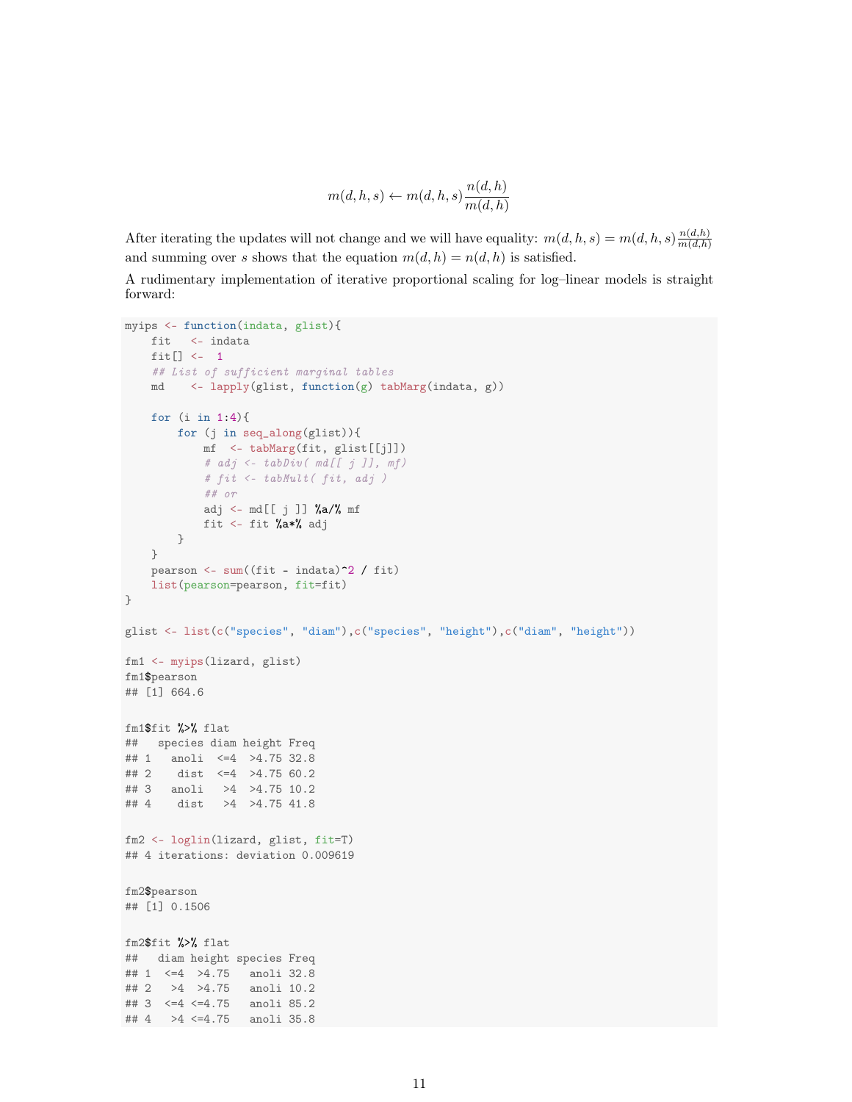$$
m(d, h, s) \leftarrow m(d, h, s) \frac{n(d, h)}{m(d, h)}
$$

After iterating the updates will not change and we will have equality:  $m(d, h, s) = m(d, h, s) \frac{n(d, h)}{m(d, h)}$  $m(d,h)$ and summing over s shows that the equation  $m(d, h) = n(d, h)$  is satisfied.

A rudimentary implementation of iterative proportional scaling for log–linear models is straight forward:

```
myips <- function(indata, glist){
   fit <- indata
    fit[] <- 1
   ## List of sufficient marginal tables
    md <- lapply(glist, function(g) tabMarg(indata, g))
    for (i in 1:4){
       for (j in seq_along(glist)){
           mf <- tabMarg(fit, glist[[j]])
           # adj <- tabDiv( md[[ j ]], mf)
            # fit <- tabMult( fit, adj )
           ## or
           adj <- md[[j]] %a/% mf
           fit <- fit %a*% adj
       }
    }
    pearson \leq sum((fit - indata)<sup>\sim</sup>2 / fit)
    list(pearson=pearson, fit=fit)
}
glist <- list(c("species", "diam"),c("species", "height"),c("diam", "height"))
fm1 <- myips(lizard, glist)
fm1$pearson
## [1] 664.6
fm1$fit %>% flat
## species diam height Freq
## 1 anoli <=4 >4.75 32.8
## 2 dist <=4 >4.75 60.2
## 3 anoli >4 >4.75 10.2
## 4 dist >4 >4.75 41.8
fm2 <- loglin(lizard, glist, fit=T)
## 4 iterations: deviation 0.009619
fm2$pearson
## [1] 0.1506
fm2$fit %>% flat
## diam height species Freq
## 1 <=4 >4.75 anoli 32.8
## 2 >4 >4.75 anoli 10.2
## 3 <=4 <=4.75 anoli 85.2
## 4 >4 <=4.75 anoli 35.8
```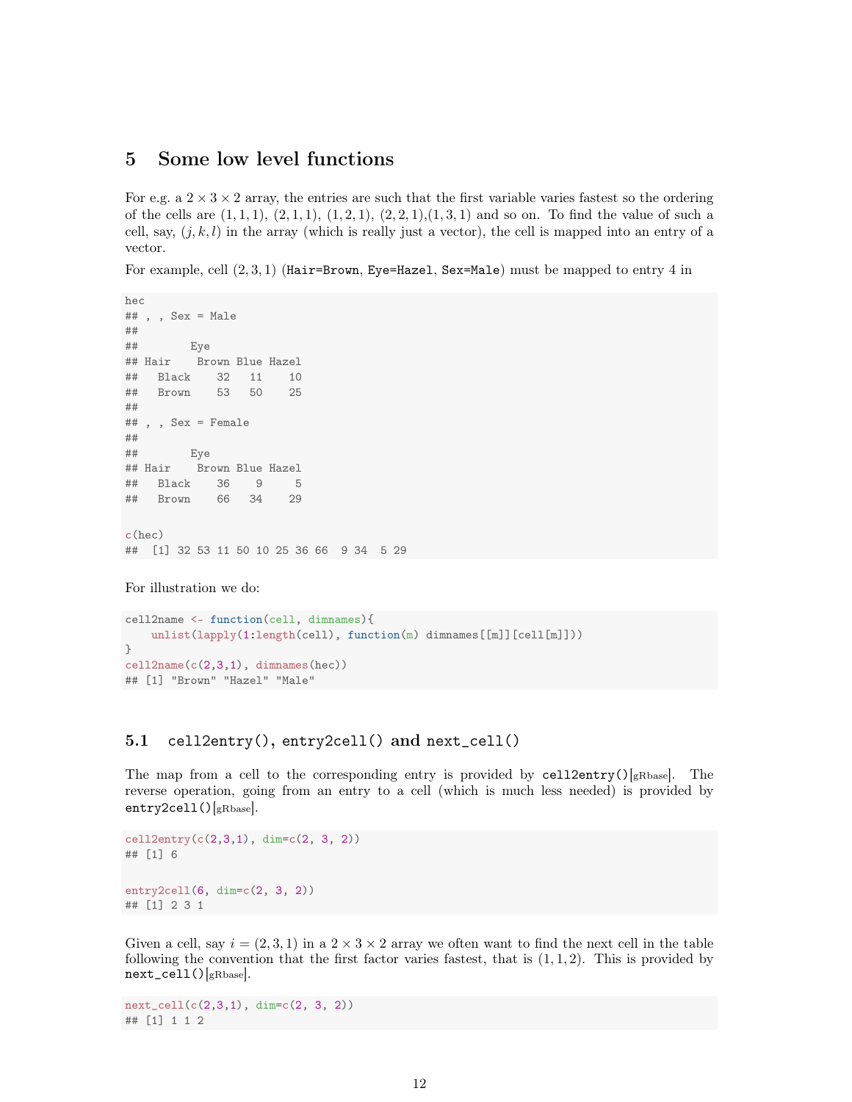## 5 Some low level functions

For e.g. a  $2 \times 3 \times 2$  array, the entries are such that the first variable varies fastest so the ordering of the cells are  $(1, 1, 1), (2, 1, 1), (1, 2, 1), (2, 2, 1), (1, 3, 1)$  and so on. To find the value of such a cell, say,  $(i, k, l)$  in the array (which is really just a vector), the cell is mapped into an entry of a vector.

For example, cell  $(2, 3, 1)$  (Hair=Brown, Eye=Hazel, Sex=Male) must be mapped to entry 4 in

```
hec
\# , , Sex = Male
##
## Eye
## Hair Brown Blue Hazel
## Black 32 11 10
## Brown 53 50 25
##
## , , Sex = Female
##
## Eye
## Hair Brown Blue Hazel
## Black 36 9 5
## Brown 66 34 29
c(hec)
## [1] 32 53 11 50 10 25 36 66 9 34 5 29
```

```
For illustration we do:
```

```
cell2name <- function(cell, dimnames){
    unlist(lapply(1:length(cell), function(m) dimnames[[m]][cell[m]]))
}
cell2name(c(2,3,1), dimnames(hec))## [1] "Brown" "Hazel" "Male"
```
#### 5.1 cell2entry(), entry2cell() and next\_cell()

The map from a cell to the corresponding entry is provided by  $\text{cell2entry}()_{gRbase}$ . The reverse operation, going from an entry to a cell (which is much less needed) is provided by entry2cell()[gRbase].

```
cell2entry(c(2,3,1), dim=c(2, 3, 2))
## [1] 6
entry2cell(6, dim=c(2, 3, 2))
## [1] 2 3 1
```
Given a cell, say  $i = (2, 3, 1)$  in a  $2 \times 3 \times 2$  array we often want to find the next cell in the table following the convention that the first factor varies fastest, that is  $(1, 1, 2)$ . This is provided by next\_cell()[gRbase].

 $next_{cell}(c(2,3,1), dim=c(2, 3, 2))$ ## [1] 1 1 2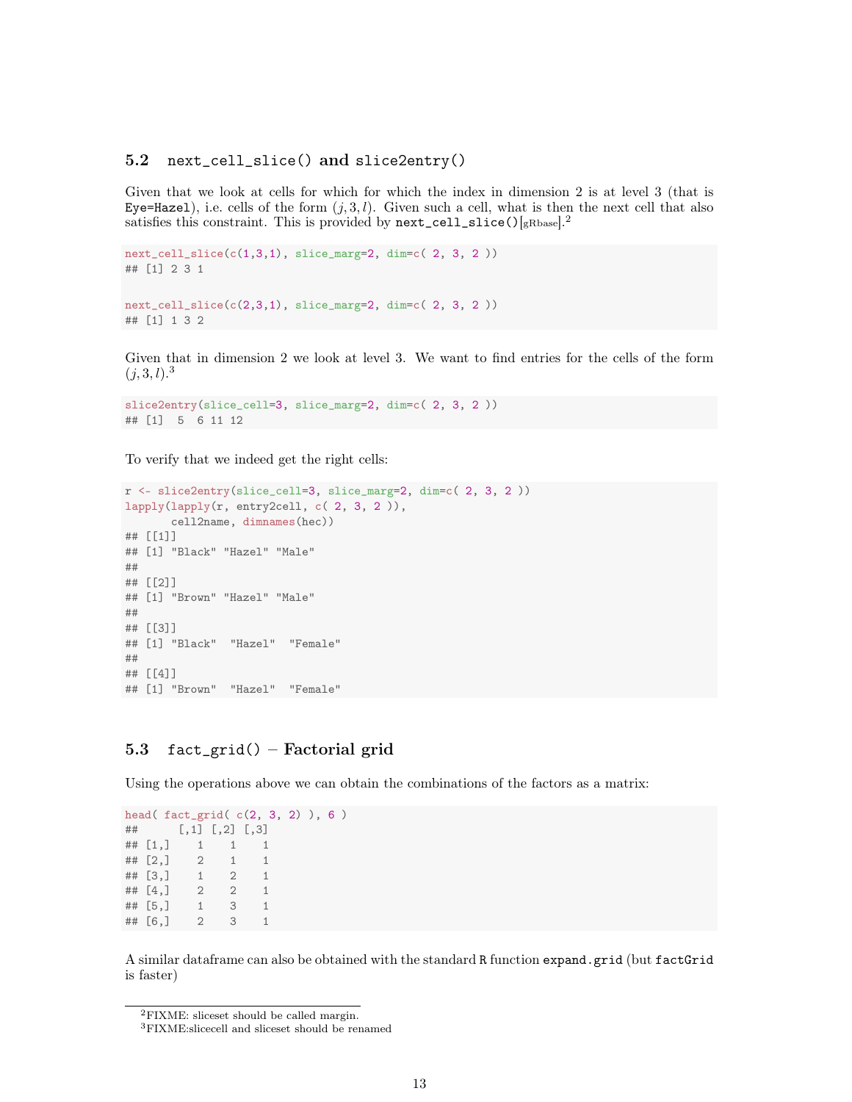#### 5.2 next\_cell\_slice() and slice2entry()

Given that we look at cells for which for which the index in dimension 2 is at level 3 (that is Eye=Hazel), i.e. cells of the form  $(j, 3, l)$ . Given such a cell, what is then the next cell that also satisfies this constraint. This is provided by  $next\_cell\_slice()$  [gRbase].<sup>2</sup>

```
next_{cell\_slice}(c(1,3,1), slice_{marg=2, dim=c(2, 3, 2))## [1] 2 3 1
next_cell_slice(c(2,3,1), slice_marg=2, dim=c( 2, 3, 2 ))
## [1] 1 3 2
```
Given that in dimension 2 we look at level 3. We want to find entries for the cells of the form  $(j, 3, l).$ <sup>3</sup>

```
slice2entry(slice_cell=3, slice_marg=2, dim=c( 2, 3, 2 ))
## [1] 5 6 11 12
```
To verify that we indeed get the right cells:

```
r <- slice2entry(slice_cell=3, slice_marg=2, dim=c( 2, 3, 2 ))
lapply(lapply(r, entry2cell, c( 2, 3, 2)),
       cell2name, dimnames(hec))
## [[1]]
## [1] "Black" "Hazel" "Male"
##
## [[2]]
## [1] "Brown" "Hazel" "Male"
##
## [[3]]
## [1] "Black" "Hazel" "Female"
##
## [[4]]
## [1] "Brown" "Hazel" "Female"
```
## 5.3 fact\_grid() – Factorial grid

Using the operations above we can obtain the combinations of the factors as a matrix:

```
head( fact_grid( c(2, 3, 2) ), 6 )
## [,1] [,2] [,3]
## [1,] 1 1 1
## [2,] 2 1 1
## [3,] 1 2 1
## [4,] 2 2 1
## [5,] 1 3 1
## [6,] 2 3 1
```
A similar dataframe can also be obtained with the standard R function expand.grid (but factGrid is faster)

<sup>2</sup>FIXME: sliceset should be called margin.

<sup>3</sup>FIXME:slicecell and sliceset should be renamed